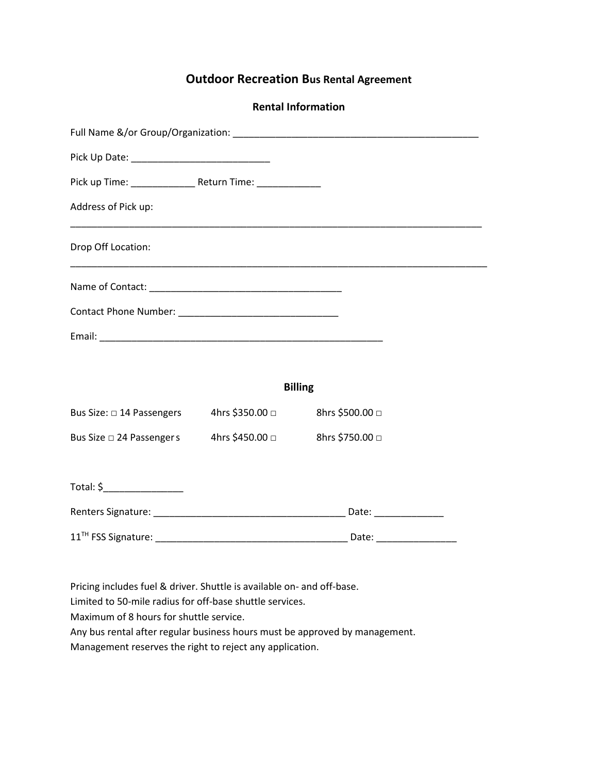## **Outdoor Recreation Bus Rental Agreement**

| <b>Rental Information</b> |  |  |
|---------------------------|--|--|
|---------------------------|--|--|

| Address of Pick up:                                       |  |  |  |  |  |
|-----------------------------------------------------------|--|--|--|--|--|
| Drop Off Location:                                        |  |  |  |  |  |
|                                                           |  |  |  |  |  |
|                                                           |  |  |  |  |  |
|                                                           |  |  |  |  |  |
|                                                           |  |  |  |  |  |
|                                                           |  |  |  |  |  |
| Bus Size: □ 14 Passengers 4hrs \$350.00 □ 8hrs \$500.00 □ |  |  |  |  |  |
| Bus Size □ 24 Passenger s 4hrs \$450.00 □ 8hrs \$750.00 □ |  |  |  |  |  |
|                                                           |  |  |  |  |  |
|                                                           |  |  |  |  |  |
|                                                           |  |  |  |  |  |
|                                                           |  |  |  |  |  |

Pricing includes fuel & driver. Shuttle is available on- and off-base.

Limited to 50-mile radius for off-base shuttle services.

Maximum of 8 hours for shuttle service.

Any bus rental after regular business hours must be approved by management.

Management reserves the right to reject any application.